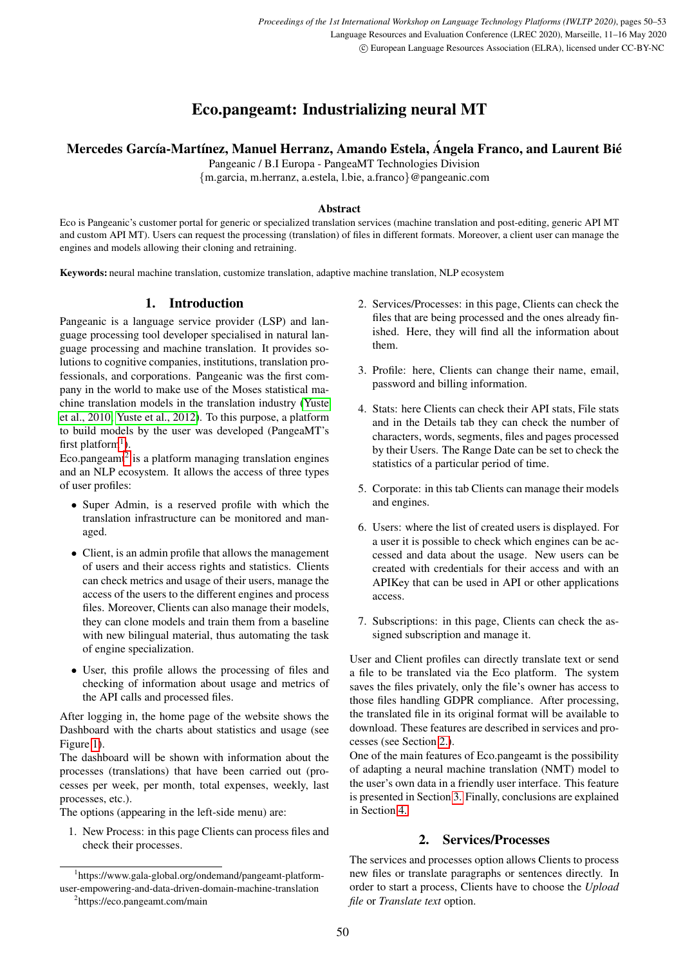# Eco.pangeamt: Industrializing neural MT

## Mercedes García-Martínez, Manuel Herranz, Amando Estela, Ángela Franco, and Laurent Bié

Pangeanic / B.I Europa - PangeaMT Technologies Division

{m.garcia, m.herranz, a.estela, l.bie, a.franco}@pangeanic.com

#### Abstract

Eco is Pangeanic's customer portal for generic or specialized translation services (machine translation and post-editing, generic API MT and custom API MT). Users can request the processing (translation) of files in different formats. Moreover, a client user can manage the engines and models allowing their cloning and retraining.

Keywords: neural machine translation, customize translation, adaptive machine translation, NLP ecosystem

## 1. Introduction

Pangeanic is a language service provider (LSP) and language processing tool developer specialised in natural language processing and machine translation. It provides solutions to cognitive companies, institutions, translation professionals, and corporations. Pangeanic was the first company in the world to make use of the Moses statistical machine translation models in the translation industry [\(Yuste](#page-3-0) [et al., 2010;](#page-3-0) [Yuste et al., 2012\)](#page-3-1). To this purpose, a platform to build models by the user was developed (PangeaMT's first platform<sup>[1](#page-0-0)</sup>).

Eco.pangeamt<sup>[2](#page-0-1)</sup> is a platform managing translation engines and an NLP ecosystem. It allows the access of three types of user profiles:

- Super Admin, is a reserved profile with which the translation infrastructure can be monitored and managed.
- Client, is an admin profile that allows the management of users and their access rights and statistics. Clients can check metrics and usage of their users, manage the access of the users to the different engines and process files. Moreover, Clients can also manage their models, they can clone models and train them from a baseline with new bilingual material, thus automating the task of engine specialization.
- User, this profile allows the processing of files and checking of information about usage and metrics of the API calls and processed files.

After logging in, the home page of the website shows the Dashboard with the charts about statistics and usage (see Figure [1\)](#page-1-0).

The dashboard will be shown with information about the processes (translations) that have been carried out (processes per week, per month, total expenses, weekly, last processes, etc.).

The options (appearing in the left-side menu) are:

1. New Process: in this page Clients can process files and check their processes.

- 2. Services/Processes: in this page, Clients can check the files that are being processed and the ones already finished. Here, they will find all the information about them.
- 3. Profile: here, Clients can change their name, email, password and billing information.
- 4. Stats: here Clients can check their API stats, File stats and in the Details tab they can check the number of characters, words, segments, files and pages processed by their Users. The Range Date can be set to check the statistics of a particular period of time.
- 5. Corporate: in this tab Clients can manage their models and engines.
- 6. Users: where the list of created users is displayed. For a user it is possible to check which engines can be accessed and data about the usage. New users can be created with credentials for their access and with an APIKey that can be used in API or other applications access.
- 7. Subscriptions: in this page, Clients can check the assigned subscription and manage it.

User and Client profiles can directly translate text or send a file to be translated via the Eco platform. The system saves the files privately, only the file's owner has access to those files handling GDPR compliance. After processing, the translated file in its original format will be available to download. These features are described in services and processes (see Section [2.\)](#page-0-2).

One of the main features of Eco.pangeamt is the possibility of adapting a neural machine translation (NMT) model to the user's own data in a friendly user interface. This feature is presented in Section [3.](#page-1-1) Finally, conclusions are explained in Section [4.](#page-3-2)

## 2. Services/Processes

<span id="page-0-2"></span>The services and processes option allows Clients to process new files or translate paragraphs or sentences directly. In order to start a process, Clients have to choose the *Upload file* or *Translate text* option.

<span id="page-0-0"></span><sup>1</sup> https://www.gala-global.org/ondemand/pangeamt-platformuser-empowering-and-data-driven-domain-machine-translation

<span id="page-0-1"></span><sup>2</sup> https://eco.pangeamt.com/main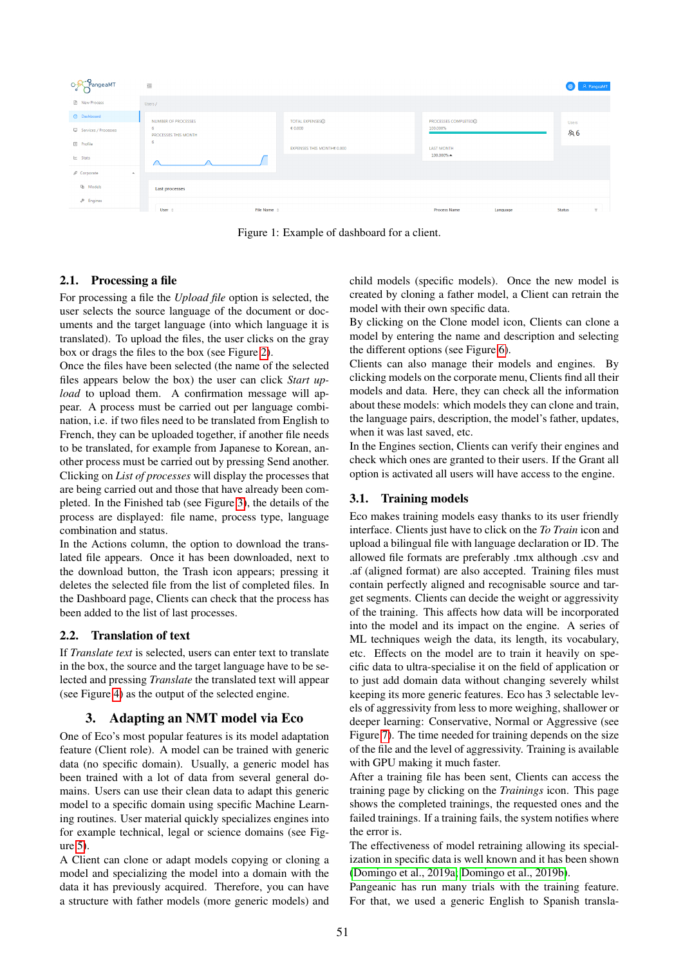| O-R <sup>-</sup> PangeaMT                                       | $\equiv$                              |                                      |                                  |          |               | A PangeaMT |
|-----------------------------------------------------------------|---------------------------------------|--------------------------------------|----------------------------------|----------|---------------|------------|
| <b>P</b> New Process                                            | Users /                               |                                      |                                  |          |               |            |
| <b>2</b> Dashboard                                              | NUMBER OF PROCESSES                   | <b>TOTAL EXPENSES</b> <sup>(1)</sup> | PROCESSES COMPLETED <sub>O</sub> |          | Users         |            |
| Services / Processes                                            | -6<br>PROCESSES THIS MONTH            | € 0.000                              | 100.000%                         |          | <b>&amp;B</b> |            |
| <b>Profile</b>                                                  | -6                                    | EXPENSES THIS MONTHE 0.000           | <b>LAST MONTH</b>                |          |               |            |
| $\mathbb{R}$ Stats                                              |                                       |                                      | 100.000% $\blacktriangle$        |          |               |            |
| $\mathfrak{g}^{\mathcal{G}}$ Corporate<br>$\boldsymbol{\wedge}$ |                                       |                                      |                                  |          |               |            |
| <b><sup>d</sup></b> Models                                      | <b>Last processes</b>                 |                                      |                                  |          |               |            |
| $\n  P$ Engines                                                 |                                       |                                      |                                  |          |               |            |
|                                                                 | File Name $\div$<br>User $\triangleq$ |                                      | <b>Process Name</b>              | Language | Status        | T          |

<span id="page-1-0"></span>Figure 1: Example of dashboard for a client.

#### 2.1. Processing a file

For processing a file the *Upload file* option is selected, the user selects the source language of the document or documents and the target language (into which language it is translated). To upload the files, the user clicks on the gray box or drags the files to the box (see Figure [2\)](#page-2-0).

Once the files have been selected (the name of the selected files appears below the box) the user can click *Start upload* to upload them. A confirmation message will appear. A process must be carried out per language combination, i.e. if two files need to be translated from English to French, they can be uploaded together, if another file needs to be translated, for example from Japanese to Korean, another process must be carried out by pressing Send another. Clicking on *List of processes* will display the processes that are being carried out and those that have already been completed. In the Finished tab (see Figure [3\)](#page-2-1), the details of the process are displayed: file name, process type, language combination and status.

In the Actions column, the option to download the translated file appears. Once it has been downloaded, next to the download button, the Trash icon appears; pressing it deletes the selected file from the list of completed files. In the Dashboard page, Clients can check that the process has been added to the list of last processes.

#### 2.2. Translation of text

If *Translate text* is selected, users can enter text to translate in the box, the source and the target language have to be selected and pressing *Translate* the translated text will appear (see Figure [4\)](#page-2-2) as the output of the selected engine.

#### 3. Adapting an NMT model via Eco

<span id="page-1-1"></span>One of Eco's most popular features is its model adaptation feature (Client role). A model can be trained with generic data (no specific domain). Usually, a generic model has been trained with a lot of data from several general domains. Users can use their clean data to adapt this generic model to a specific domain using specific Machine Learning routines. User material quickly specializes engines into for example technical, legal or science domains (see Figure [5\)](#page-2-3).

A Client can clone or adapt models copying or cloning a model and specializing the model into a domain with the data it has previously acquired. Therefore, you can have a structure with father models (more generic models) and

child models (specific models). Once the new model is created by cloning a father model, a Client can retrain the model with their own specific data.

By clicking on the Clone model icon, Clients can clone a model by entering the name and description and selecting the different options (see Figure [6\)](#page-2-4).

Clients can also manage their models and engines. By clicking models on the corporate menu, Clients find all their models and data. Here, they can check all the information about these models: which models they can clone and train, the language pairs, description, the model's father, updates, when it was last saved, etc.

In the Engines section, Clients can verify their engines and check which ones are granted to their users. If the Grant all option is activated all users will have access to the engine.

## 3.1. Training models

Eco makes training models easy thanks to its user friendly interface. Clients just have to click on the *To Train* icon and upload a bilingual file with language declaration or ID. The allowed file formats are preferably .tmx although .csv and .af (aligned format) are also accepted. Training files must contain perfectly aligned and recognisable source and target segments. Clients can decide the weight or aggressivity of the training. This affects how data will be incorporated into the model and its impact on the engine. A series of ML techniques weigh the data, its length, its vocabulary, etc. Effects on the model are to train it heavily on specific data to ultra-specialise it on the field of application or to just add domain data without changing severely whilst keeping its more generic features. Eco has 3 selectable levels of aggressivity from less to more weighing, shallower or deeper learning: Conservative, Normal or Aggressive (see Figure [7\)](#page-3-3). The time needed for training depends on the size of the file and the level of aggressivity. Training is available with GPU making it much faster.

After a training file has been sent, Clients can access the training page by clicking on the *Trainings* icon. This page shows the completed trainings, the requested ones and the failed trainings. If a training fails, the system notifies where the error is.

The effectiveness of model retraining allowing its specialization in specific data is well known and it has been shown [\(Domingo et al., 2019a;](#page-3-4) [Domingo et al., 2019b\)](#page-3-5).

Pangeanic has run many trials with the training feature. For that, we used a generic English to Spanish transla-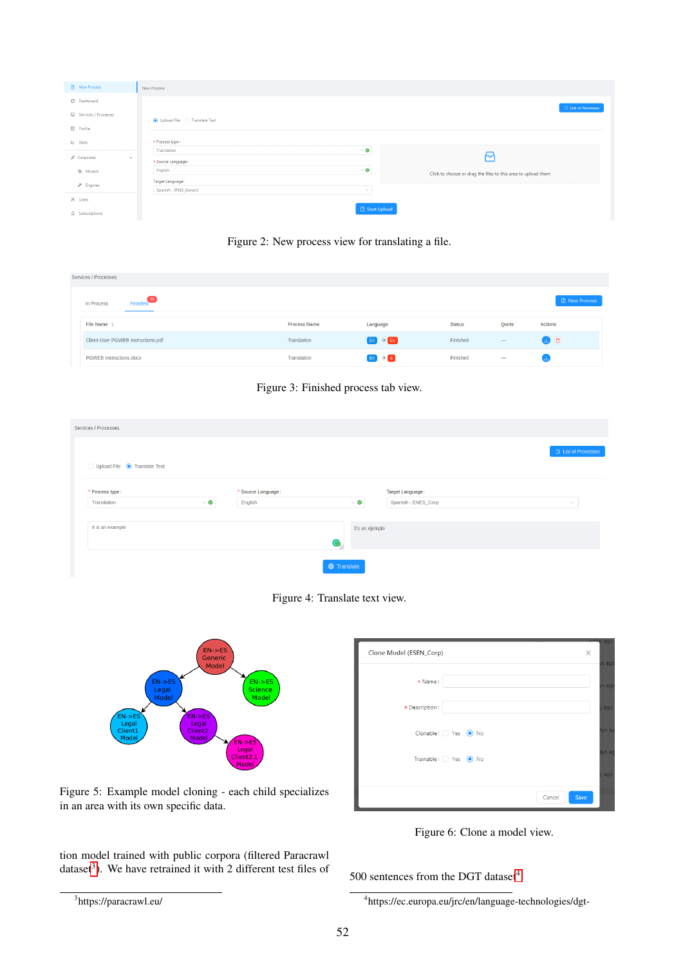| <b>D</b> New Process                                          | New Process                                      |                                                               |
|---------------------------------------------------------------|--------------------------------------------------|---------------------------------------------------------------|
| @ Dashboard                                                   |                                                  | $\Box$ List of Processes                                      |
| Services / Processes                                          | O Upload File C Translate Text                   |                                                               |
| <b>Profile</b>                                                |                                                  |                                                               |
| $\mathbb{R}$ Stats                                            | * Process type:                                  |                                                               |
| $\mathfrak{g}^{\mathcal{G}}$ Corporate<br>$\hat{\phantom{a}}$ | $\vee$ 0<br>Translation<br>* Source Language:    | ∼                                                             |
| <b>函</b> Models                                               | $\vee$ 0<br>English                              | Click to choose or drag the files to this area to upload them |
| $P$ Engines                                                   | Target Language:<br>Spanish - ENES_Generic<br>V. |                                                               |
| A Users                                                       |                                                  |                                                               |
| $\Omega$ Subscriptions                                        | Start Upload                                     |                                                               |

<span id="page-2-0"></span>Figure 2: New process view for translating a file.

| <b>Services / Processes</b>          |                     |                           |               |        |                      |
|--------------------------------------|---------------------|---------------------------|---------------|--------|----------------------|
| Finished <sup>56</sup><br>In Process |                     |                           |               |        | <b>B</b> New Process |
| File Name $\div$                     | <b>Process Name</b> | Language                  | <b>Status</b> | Quote  | <b>Actions</b>       |
| Client-User PGWEB Instructions.pdf   | Translation         | $E_n$ $\rightarrow$ Es    | Finished      | $\sim$ | $\bullet$ $\bullet$  |
| <b>PGWEB Instructions.docx</b>       | Translation         | $E_n$ $\rightarrow$ $E_n$ | Finished      | $\sim$ |                      |

<span id="page-2-1"></span>

| Services / Processes           |          |                    |                         |                     |                   |
|--------------------------------|----------|--------------------|-------------------------|---------------------|-------------------|
| ◯ Upload File ● Translate Text |          |                    |                         |                     | List of Processes |
| * Process type:                |          | * Source Language: |                         | Target Language:    |                   |
| Translation                    | $\vee$ 0 | English            | $\vee$ 0                | Spanish - ENES_Corp | $\vee$            |
| It is an example               |          |                    | Es un ejemplo<br>O<br>Ŵ |                     |                   |
|                                |          |                    | <b>E</b> Translate      |                     |                   |

<span id="page-2-2"></span>



| Clone Model (ESEN_Corp) |                      | -<br>X<br>rs ago |
|-------------------------|----------------------|------------------|
| * Name:                 |                      | is ago           |
| * Description:          |                      | ago              |
|                         | Clonable: O Yes @ No | ays ag           |
|                         | Trainable: Yes O No  | ays ag           |
|                         |                      | ago              |
|                         |                      | Save<br>Cancel   |

<span id="page-2-4"></span>Figure 6: Clone a model view.

tion model trained with public corpora (filtered Paracrawl dataset<sup>[3](#page-2-5)</sup>). We have retrained it with 2 different test files of

<span id="page-2-3"></span>Figure 5: Example model cloning - each child specializes

500 sentences from the DGT dataset $4$ .

in an area with its own specific data.

<span id="page-2-5"></span><sup>3</sup> https://paracrawl.eu/

<span id="page-2-6"></span><sup>4</sup> https://ec.europa.eu/jrc/en/language-technologies/dgt-